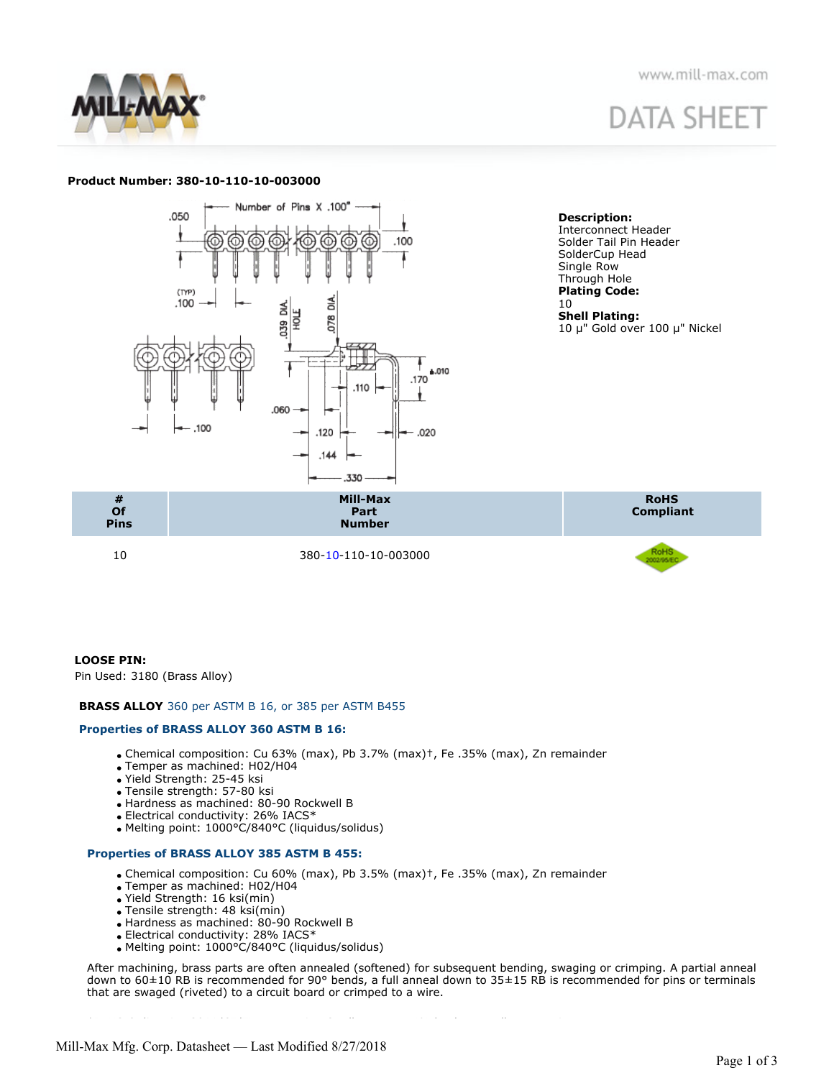

# **DATA SHEET**

# **Product Number: 380-10-110-10-003000**



**Description:** Interconnect Header Solder Tail Pin Header SolderCup Head Single Row Through Hole **Plating Code:** 10 **Shell Plating:** 10 μ" Gold over 100 μ" Nickel



# **LOOSE PIN:**

Pin Used: 3180 (Brass Alloy)

# **BRASS ALLOY** 360 per ASTM B 16, or 385 per ASTM B455

# **Properties of BRASS ALLOY 360 ASTM B 16:**

- Chemical composition: Cu 63% (max), Pb 3.7% (max)†, Fe .35% (max), Zn remainder
- Temper as machined: H02/H04
- Yield Strength: 25-45 ksi
- Tensile strength: 57-80 ksi
- Hardness as machined: 80-90 Rockwell B
- Electrical conductivity: 26% IACS\*
- Melting point: 1000°C/840°C (liquidus/solidus)

# **Properties of BRASS ALLOY 385 ASTM B 455:**

Chemical composition: Cu 60% (max), Pb 3.5% (max)†, Fe .35% (max), Zn remainder

†RoHS-2 directive 2011/65/EU, exemption 6c allows up to 4% lead as an alloy agent in copper.

- Temper as machined: H02/H04
- Yield Strength: 16 ksi(min)
- Tensile strength: 48 ksi(min)
- Hardness as machined: 80-90 Rockwell B
- Electrical conductivity: 28% IACS\* Melting point: 1000°C/840°C (liquidus/solidus)

After machining, brass parts are often annealed (softened) for subsequent bending, swaging or crimping. A partial anneal down to 60±10 RB is recommended for 90° bends, a full anneal down to 35±15 RB is recommended for pins or terminals that are swaged (riveted) to a circuit board or crimped to a wire.